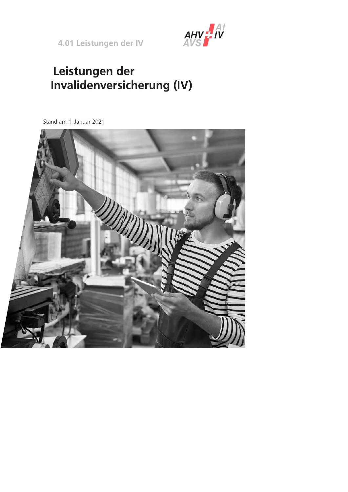4.01 Leistungen der IV



# Leistungen der **Invalidenversicherung (IV)**

Stand am 1. Januar 2021

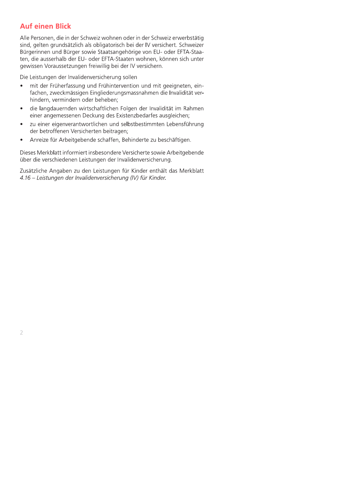## **Auf einen Blick**

Alle Personen, die in der Schweiz wohnen oder in der Schweiz erwerbstätig sind, gelten grundsätzlich als obligatorisch bei der IV versichert. Schweizer Bürgerinnen und Bürger sowie Staatsangehörige von EU- oder EFTA-Staaten, die ausserhalb der EU- oder EFTA-Staaten wohnen, können sich unter gewissen Voraussetzungen freiwillig bei der IV versichern.

Die Leistungen der Invalidenversicherung sollen

- mit der Früherfassung und Frühintervention und mit geeigneten, ein- $\bullet$ fachen, zweckmässigen Eingliederungsmassnahmen die Invalidität verhindern, vermindern oder beheben;
- die langdauernden wirtschaftlichen Folgen der Invalidität im Rahmen einer angemessenen Deckung des Existenzbedarfes ausgleichen;
- zu einer eigenverantwortlichen und selbstbestimmten Lebensführung der betroffenen Versicherten beitragen;
- Anreize für Arbeitgebende schaffen, Behinderte zu beschäftigen.

Dieses Merkblatt informiert insbesondere Versicherte sowie Arbeitgebende über die verschiedenen Leistungen der Invalidenversicherung.

Zusätzliche Angaben zu den Leistungen für Kinder enthält das Merkblatt 4.16 – Leistungen der Invalidenversicherung (IV) für Kinder.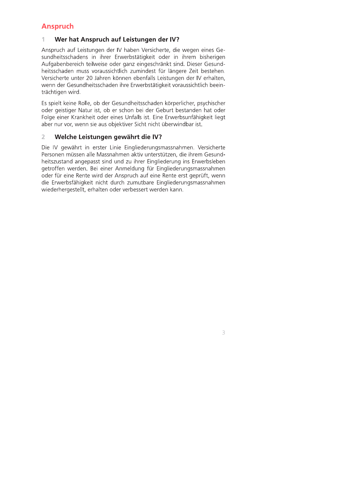## **Anspruch**

### 1 Wer hat Anspruch auf Leistungen der IV?

Anspruch auf Leistungen der IV haben Versicherte, die wegen eines Gesundheitsschadens in ihrer Erwerbstätigkeit oder in ihrem bisherigen Aufgabenbereich teilweise oder ganz eingeschränkt sind. Dieser Gesundheitsschaden muss voraussichtlich zumindest für längere Zeit bestehen. Versicherte unter 20 Jahren können ebenfalls Leistungen der IV erhalten, wenn der Gesundheitsschaden ihre Erwerbstätigkeit voraussichtlich beeinträchtigen wird.

Es spielt keine Rolle, ob der Gesundheitsschaden körperlicher, psychischer oder geistiger Natur ist, ob er schon bei der Geburt bestanden hat oder Folge einer Krankheit oder eines Unfalls ist. Eine Erwerbsunfähigkeit liegt aber nur vor, wenn sie aus objektiver Sicht nicht überwindbar ist.

#### Welche Leistungen gewährt die IV?  $\overline{2}$

Die IV gewährt in erster Linie Eingliederungsmassnahmen. Versicherte Personen müssen alle Massnahmen aktiv unterstützen, die ihrem Gesundheitszustand angepasst sind und zu ihrer Eingliederung ins Erwerbsleben getroffen werden. Bei einer Anmeldung für Eingliederungsmassnahmen oder für eine Rente wird der Anspruch auf eine Rente erst geprüft, wenn die Erwerbsfähigkeit nicht durch zumutbare Eingliederungsmassnahmen wiederhergestellt, erhalten oder verbessert werden kann.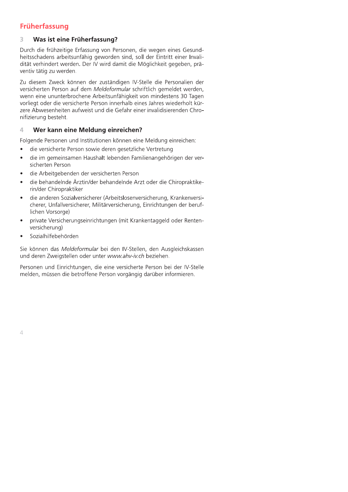## Früherfassung

### 3 Was ist eine Früherfassung?

Durch die frühzeitige Erfassung von Personen, die wegen eines Gesundheitsschadens arbeitsunfähig geworden sind, soll der Eintritt einer Invalidität verhindert werden. Der IV wird damit die Möglichkeit gegeben, präventiv tätig zu werden.

Zu diesem Zweck können der zuständigen IV-Stelle die Personalien der versicherten Person auf dem Meldeformular schriftlich gemeldet werden, wenn eine ununterbrochene Arbeitsunfähigkeit von mindestens 30 Tagen vorliegt oder die versicherte Person innerhalb eines Jahres wiederholt kürzere Abwesenheiten aufweist und die Gefahr einer invalidisierenden Chronifizierung besteht.

### Wer kann eine Meldung einreichen? 4

Folgende Personen und Institutionen können eine Meldung einreichen:

- die versicherte Person sowie deren gesetzliche Vertretung  $\bullet$
- die im gemeinsamen Haushalt lebenden Familienangehörigen der versicherten Person
- die Arbeitgebenden der versicherten Person
- die behandelnde Ärztin/der behandelnde Arzt oder die Chiropraktikerin/der Chiropraktiker
- die anderen Sozialversicherer (Arbeitslosenversicherung, Krankenversicherer, Unfallversicherer, Militärversicherung, Einrichtungen der beruflichen Vorsorge)
- private Versicherungseinrichtungen (mit Krankentaggeld oder Rentenversicherung)
- Sozialhilfebehörden

Sie können das Meldeformular bei den IV-Stellen, den Ausgleichskassen und deren Zweigstellen oder unter www.ahv-iv.ch beziehen.

Personen und Einrichtungen, die eine versicherte Person bei der IV-Stelle melden, müssen die betroffene Person vorgängig darüber informieren.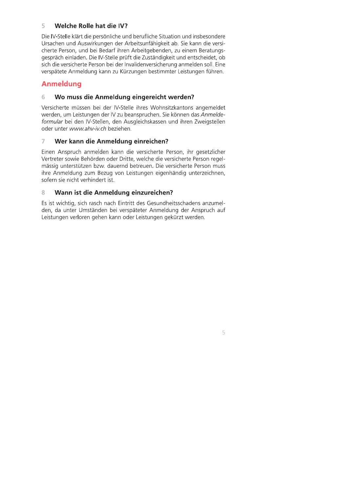### 5 Welche Rolle hat die IV?

Die IV-Stelle klärt die persönliche und berufliche Situation und insbesondere Ursachen und Auswirkungen der Arbeitsunfähigkeit ab. Sie kann die versicherte Person, und bei Bedarf ihren Arbeitgebenden, zu einem Beratungsgespräch einladen. Die IV-Stelle prüft die Zuständigkeit und entscheidet, ob sich die versicherte Person bei der Invalidenversicherung anmelden soll. Eine verspätete Anmeldung kann zu Kürzungen bestimmter Leistungen führen.

## **Anmeldung**

### 6 Wo muss die Anmeldung eingereicht werden?

Versicherte müssen bei der IV-Stelle ihres Wohnsitzkantons angemeldet werden, um Leistungen der IV zu beanspruchen. Sie können das Anmeldeformular bei den IV-Stellen, den Ausgleichskassen und ihren Zweigstellen oder unter www.ahv-iv.ch beziehen.

### $\overline{7}$ Wer kann die Anmeldung einreichen?

Einen Anspruch anmelden kann die versicherte Person, ihr gesetzlicher Vertreter sowie Behörden oder Dritte, welche die versicherte Person regelmässig unterstützen bzw. dauernd betreuen. Die versicherte Person muss ihre Anmeldung zum Bezug von Leistungen eigenhändig unterzeichnen, sofern sie nicht verhindert ist.

#### $\mathbf{R}$ Wann ist die Anmeldung einzureichen?

Es ist wichtig, sich rasch nach Eintritt des Gesundheitsschadens anzumelden, da unter Umständen bei verspäteter Anmeldung der Anspruch auf Leistungen verloren gehen kann oder Leistungen gekürzt werden.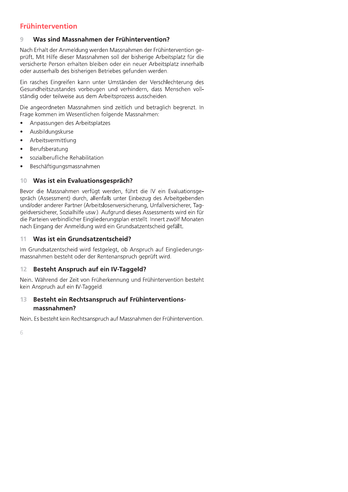## **Frühintervention**

### 9 Was sind Massnahmen der Frühintervention?

Nach Erhalt der Anmeldung werden Massnahmen der Frühintervention geprüft. Mit Hilfe dieser Massnahmen soll der bisherige Arbeitsplatz für die versicherte Person erhalten bleiben oder ein neuer Arbeitsplatz innerhalb oder ausserhalb des bisherigen Betriebes gefunden werden.

Ein rasches Eingreifen kann unter Umständen der Verschlechterung des Gesundheitszustandes vorbeugen und verhindern, dass Menschen vollständig oder teilweise aus dem Arbeitsprozess ausscheiden.

Die angeordneten Massnahmen sind zeitlich und betraglich begrenzt. In Frage kommen im Wesentlichen folgende Massnahmen:

- Anpassungen des Arbeitsplatzes  $\bullet$
- Ausbildungskurse
- Arbeitsvermittlung
- Berufsberatung  $\bullet$
- sozialberufliche Rehabilitation
- Beschäftigungsmassnahmen

### Was ist ein Evaluationsgespräch?  $10$

Bevor die Massnahmen verfügt werden, führt die IV ein Evaluationsgespräch (Assessment) durch, allenfalls unter Einbezug des Arbeitgebenden und/oder anderer Partner (Arbeitslosenversicherung, Unfallversicherer, Taggeldversicherer, Sozialhilfe usw.). Aufgrund dieses Assessments wird ein für die Parteien verbindlicher Eingliederungsplan erstellt. Innert zwölf Monaten nach Eingang der Anmeldung wird ein Grundsatzentscheid gefällt.

#### 11 Was ist ein Grundsatzentscheid?

Im Grundsatzentscheid wird festgelegt, ob Anspruch auf Eingliederungsmassnahmen besteht oder der Rentenanspruch geprüft wird.

### $12$ **Besteht Anspruch auf ein IV-Taggeld?**

Nein. Während der Zeit von Früherkennung und Frühintervention besteht kein Anspruch auf ein IV-Taggeld.

### Besteht ein Rechtsanspruch auf Frühinterventions- $13$ massnahmen?

Nein. Es besteht kein Rechtsanspruch auf Massnahmen der Frühintervention.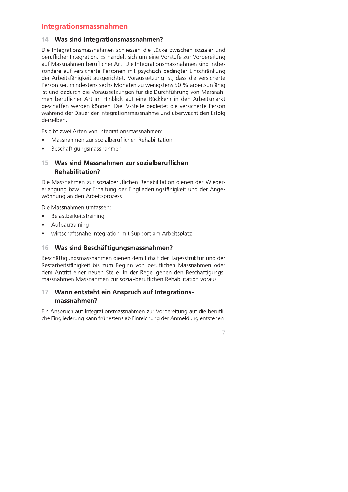## Integrationsmassnahmen

### 14 Was sind Integrationsmassnahmen?

Die Integrationsmassnahmen schliessen die Lücke zwischen sozialer und beruflicher Integration. Es handelt sich um eine Vorstufe zur Vorbereitung auf Massnahmen beruflicher Art. Die Integrationsmassnahmen sind insbesondere auf versicherte Personen mit psychisch bedingter Einschränkung der Arbeitsfähigkeit ausgerichtet. Voraussetzung ist, dass die versicherte Person seit mindestens sechs Monaten zu wenigstens 50 % arbeitsunfähig ist und dadurch die Voraussetzungen für die Durchführung von Massnahmen beruflicher Art im Hinblick auf eine Rückkehr in den Arbeitsmarkt geschaffen werden können. Die IV-Stelle begleitet die versicherte Person während der Dauer der Integrationsmassnahme und überwacht den Erfolg derselben.

Es gibt zwei Arten von Integrationsmassnahmen:

- Massnahmen zur sozialberuflichen Rehabilitation  $\bullet$
- Beschäftigungsmassnahmen  $\bullet$

### Was sind Massnahmen zur sozialberuflichen  $15<sub>1</sub>$ **Rehabilitation?**

Die Massnahmen zur sozialberuflichen Rehabilitation dienen der Wiedererlangung bzw. der Erhaltung der Eingliederungsfähigkeit und der Angewöhnung an den Arbeitsprozess.

Die Massnahmen umfassen:

- Belastbarkeitstraining  $\bullet$
- Aufbautraining
- wirtschaftsnahe Integration mit Support am Arbeitsplatz  $\bullet$

### 16 Was sind Beschäftigungsmassnahmen?

Beschäftigungsmassnahmen dienen dem Erhalt der Tagesstruktur und der Restarbeitsfähigkeit bis zum Beginn von beruflichen Massnahmen oder dem Antritt einer neuen Stelle. In der Regel gehen den Beschäftigungsmassnahmen Massnahmen zur sozial-beruflichen Rehabilitation voraus.

### $17<sup>7</sup>$ Wann entsteht ein Anspruch auf Integrationsmassnahmen?

Ein Anspruch auf Integrationsmassnahmen zur Vorbereitung auf die berufliche Eingliederung kann frühestens ab Einreichung der Anmeldung entstehen.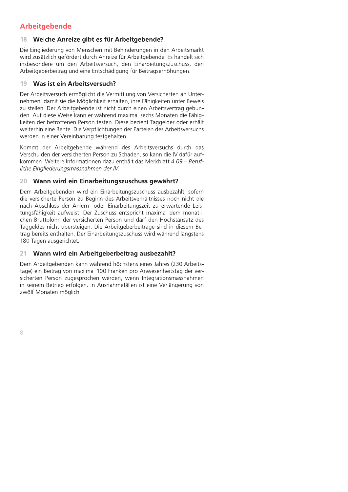## **Arbeitgebende**

### 18 Welche Anreize gibt es für Arbeitgebende?

Die Eingliederung von Menschen mit Behinderungen in den Arbeitsmarkt wird zusätzlich gefördert durch Anreize für Arbeitgebende. Es handelt sich insbesondere um den Arbeitsversuch, den Einarbeitungszuschuss, den Arbeitgeberbeitrag und eine Entschädigung für Beitragserhöhungen.

#### Was ist ein Arbeitsversuch? 19

Der Arbeitsversuch ermöglicht die Vermittlung von Versicherten an Unternehmen, damit sie die Möglichkeit erhalten, ihre Fähigkeiten unter Beweis zu stellen. Der Arbeitgebende ist nicht durch einen Arbeitsvertrag gebunden. Auf diese Weise kann er während maximal sechs Monaten die Fähigkeiten der betroffenen Person testen. Diese bezieht Taggelder oder erhält weiterhin eine Rente. Die Verpflichtungen der Parteien des Arbeitsversuchs werden in einer Vereinbarung festgehalten.

Kommt der Arbeitgebende während des Arbeitsversuchs durch das Verschulden der versicherten Person zu Schaden, so kann die IV dafür aufkommen. Weitere Informationen dazu enthält das Merkblatt 4.09 – Berufliche Eingliederungsmassnahmen der IV.

### 20 Wann wird ein Einarbeitungszuschuss gewährt?

Dem Arbeitgebenden wird ein Einarbeitungszuschuss ausbezahlt, sofern die versicherte Person zu Beginn des Arbeitsverhältnisses noch nicht die nach Abschluss der Anlern- oder Einarbeitungszeit zu erwartende Leistungsfähigkeit aufweist. Der Zuschuss entspricht maximal dem monatlichen Bruttolohn der versicherten Person und darf den Höchstansatz des Taggeldes nicht übersteigen. Die Arbeitgeberbeiträge sind in diesem Betrag bereits enthalten. Der Einarbeitungszuschuss wird während längstens 180 Tagen ausgerichtet.

### Wann wird ein Arbeitgeberbeitrag ausbezahlt? 21

Dem Arbeitgebenden kann während höchstens eines Jahres (230 Arbeitstage) ein Beitrag von maximal 100 Franken pro Anwesenheitstag der versicherten Person zugesprochen werden, wenn Integrationsmassnahmen in seinem Betrieb erfolgen. In Ausnahmefällen ist eine Verlängerung von zwölf Monaten möglich.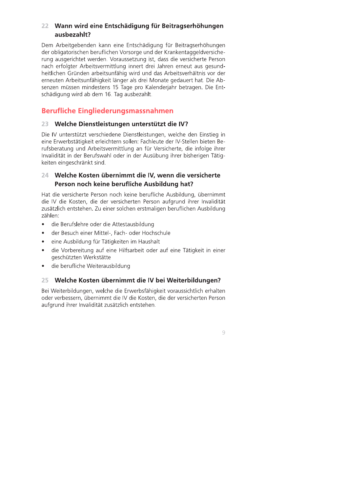## 22 Wann wird eine Entschädigung für Beitragserhöhungen ausbezahlt?

Dem Arbeitgebenden kann eine Entschädigung für Beitragserhöhungen der obligatorischen beruflichen Vorsorge und der Krankentaggeldversicherung ausgerichtet werden. Voraussetzung ist, dass die versicherte Person nach erfolgter Arbeitsvermittlung innert drei Jahren erneut aus gesundheitlichen Gründen arbeitsunfähig wird und das Arbeitsverhältnis vor der erneuten Arbeitsunfähigkeit länger als drei Monate gedauert hat. Die Absenzen müssen mindestens 15 Tage pro Kalenderiahr betragen. Die Entschädigung wird ab dem 16. Tag ausbezahlt.

## **Berufliche Eingliederungsmassnahmen**

### 23 Welche Dienstleistungen unterstützt die IV?

Die IV unterstützt verschiedene Dienstleistungen, welche den Einstieg in eine Erwerbstätigkeit erleichtern sollen: Fachleute der IV-Stellen bieten Berufsberatung und Arbeitsvermittlung an für Versicherte, die infolge ihrer Invalidität in der Berufswahl oder in der Ausübung ihrer bisherigen Tätigkeiten eingeschränkt sind.

## 24 Welche Kosten übernimmt die IV, wenn die versicherte Person noch keine berufliche Ausbildung hat?

Hat die versicherte Person noch keine berufliche Ausbildung, übernimmt die IV die Kosten, die der versicherten Person aufgrund ihrer Invalidität zusätzlich entstehen. Zu einer solchen erstmaligen beruflichen Ausbildung zählen:

- die Berufslehre oder die Attestausbildung  $\bullet$
- der Besuch einer Mittel-, Fach- oder Hochschule  $\bullet$
- eine Ausbildung für Tätigkeiten im Haushalt  $\bullet$
- die Vorbereitung auf eine Hilfsarbeit oder auf eine Tätigkeit in einer  $\bullet$ geschützten Werkstätte
- die berufliche Weiterausbildung  $\bullet$

## 25 Welche Kosten übernimmt die IV bei Weiterbildungen?

Bei Weiterbildungen, welche die Erwerbsfähigkeit voraussichtlich erhalten oder verbessern, übernimmt die IV die Kosten, die der versicherten Person aufgrund ihrer Invalidität zusätzlich entstehen.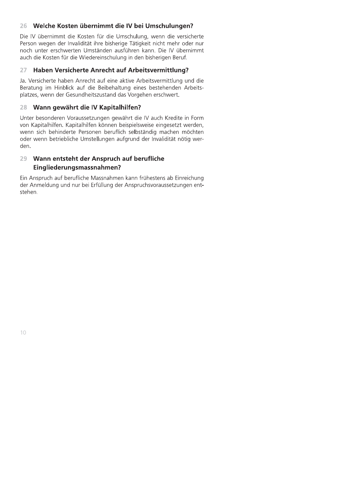### Welche Kosten übernimmt die IV bei Umschulungen?  $26 -$

Die IV übernimmt die Kosten für die Umschulung, wenn die versicherte Person wegen der Invalidität ihre bisherige Tätigkeit nicht mehr oder nur noch unter erschwerten Umständen ausführen kann. Die IV übernimmt auch die Kosten für die Wiedereinschulung in den bisherigen Beruf.

#### 27 Haben Versicherte Anrecht auf Arbeitsvermittlung?

Ja. Versicherte haben Anrecht auf eine aktive Arbeitsvermittlung und die Beratung im Hinblick auf die Beibehaltung eines bestehenden Arbeitsplatzes, wenn der Gesundheitszustand das Vorgehen erschwert.

#### Wann gewährt die IV Kapitalhilfen? 28

Unter besonderen Voraussetzungen gewährt die IV auch Kredite in Form von Kapitalhilfen. Kapitalhilfen können beispielsweise eingesetzt werden, wenn sich behinderte Personen beruflich selbständig machen möchten oder wenn betriebliche Umstellungen aufgrund der Invalidität nötig werden.

## 29 Wann entsteht der Anspruch auf berufliche Eingliederungsmassnahmen?

Ein Anspruch auf berufliche Massnahmen kann frühestens ab Einreichung der Anmeldung und nur bei Erfüllung der Anspruchsvoraussetzungen entstehen.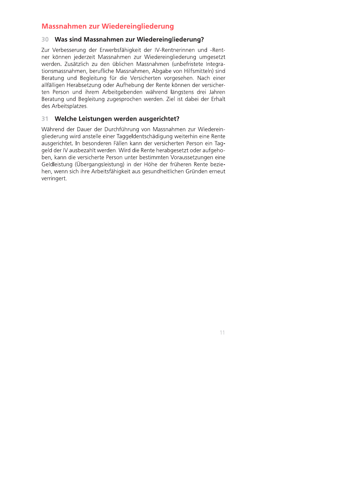## **Massnahmen zur Wiedereingliederung**

### 30 Was sind Massnahmen zur Wiedereingliederung?

Zur Verbesserung der Erwerbsfähigkeit der IV-Rentnerinnen und -Rentner können jederzeit Massnahmen zur Wiedereingliederung umgesetzt werden. Zusätzlich zu den üblichen Massnahmen (unbefristete Integrationsmassnahmen, berufliche Massnahmen, Abgabe von Hilfsmitteln) sind Beratung und Begleitung für die Versicherten vorgesehen. Nach einer allfälligen Herabsetzung oder Aufhebung der Rente können der versicherten Person und ihrem Arbeitgebenden während längstens drei Jahren Beratung und Begleitung zugesprochen werden. Ziel ist dabei der Erhalt des Arbeitsplatzes.

### $31$ Welche Leistungen werden ausgerichtet?

Während der Dauer der Durchführung von Massnahmen zur Wiedereingliederung wird anstelle einer Taggeldentschädigung weiterhin eine Rente ausgerichtet. In besonderen Fällen kann der versicherten Person ein Taggeld der IV ausbezahlt werden. Wird die Rente herabgesetzt oder aufgehoben, kann die versicherte Person unter bestimmten Voraussetzungen eine Geldleistung (Übergangsleistung) in der Höhe der früheren Rente beziehen, wenn sich ihre Arbeitsfähigkeit aus gesundheitlichen Gründen erneut verringert.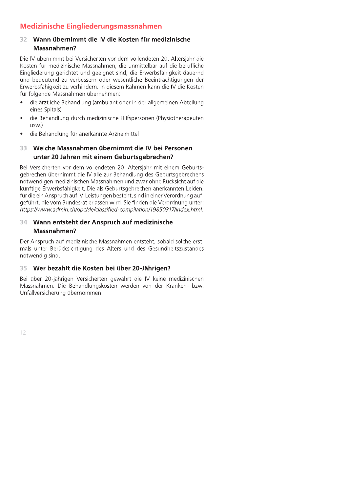## **Medizinische Eingliederungsmassnahmen**

### Wann übernimmt die IV die Kosten für medizinische 32 Massnahmen?

Die IV übernimmt bei Versicherten vor dem vollendeten 20. Altersjahr die Kosten für medizinische Massnahmen, die unmittelbar auf die berufliche Eingliederung gerichtet und geeignet sind, die Erwerbsfähigkeit dauernd und bedeutend zu verbessern oder wesentliche Beeinträchtigungen der Erwerbsfähigkeit zu verhindern. In diesem Rahmen kann die IV die Kosten für folgende Massnahmen übernehmen:

- die ärztliche Behandlung (ambulant oder in der allgemeinen Abteilung eines Spitals)
- die Behandlung durch medizinische Hilfspersonen (Physiotherapeuten usw.)
- die Behandlung für anerkannte Arzneimittel

## 33 Welche Massnahmen übernimmt die IV bei Personen unter 20 Jahren mit einem Geburtsgebrechen?

Bei Versicherten vor dem vollendeten 20. Altersjahr mit einem Geburtsgebrechen übernimmt die IV alle zur Behandlung des Geburtsgebrechens notwendigen medizinischen Massnahmen und zwar ohne Rücksicht auf die künftige Erwerbsfähigkeit. Die als Geburtsgebrechen anerkannten Leiden, für die ein Anspruch auf IV-Leistungen besteht, sind in einer Verordnung aufgeführt, die vom Bundesrat erlassen wird. Sie finden die Verordnung unter: https://www.admin.ch/opc/de/classified-compilation/19850317/index.html.

### 34 Wann entsteht der Anspruch auf medizinische Massnahmen?

Der Anspruch auf medizinische Massnahmen entsteht, sobald solche erstmals unter Berücksichtigung des Alters und des Gesundheitszustandes notwendig sind.

### Wer bezahlt die Kosten bei über 20-Jährigen? 35

Bei über 20-jährigen Versicherten gewährt die IV keine medizinischen Massnahmen. Die Behandlungskosten werden von der Kranken- bzw. Unfallversicherung übernommen.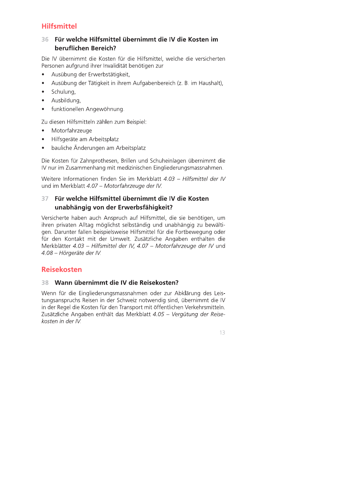## **Hilfsmittel**

### $36 -$ Für welche Hilfsmittel übernimmt die IV die Kosten im beruflichen Bereich?

Die IV übernimmt die Kosten für die Hilfsmittel, welche die versicherten Personen aufgrund ihrer Invalidität benötigen zur

- Ausübung der Erwerbstätigkeit,  $\bullet$
- Ausübung der Tätigkeit in ihrem Aufgabenbereich (z. B. im Haushalt),  $\bullet$
- $\bullet$ Schulung,
- Ausbildung,
- funktionellen Angewöhnung.  $\bullet$

Zu diesen Hilfsmitteln zählen zum Beispiel:

- Motorfahrzeuge  $\bullet$
- Hilfsgeräte am Arbeitsplatz  $\bullet$
- bauliche Änderungen am Arbeitsplatz  $\bullet$

Die Kosten für Zahnprothesen, Brillen und Schuheinlagen übernimmt die IV nur im Zusammenhang mit medizinischen Eingliederungsmassnahmen.

Weitere Informationen finden Sie im Merkblatt 4.03 - Hilfsmittel der IV und im Merkblatt 4.07 - Motorfahrzeuge der IV.

### Für welche Hilfsmittel übernimmt die IV die Kosten 37 unabhängig von der Erwerbsfähigkeit?

Versicherte haben auch Anspruch auf Hilfsmittel, die sie benötigen, um ihren privaten Alltag möglichst selbständig und unabhängig zu bewältigen. Darunter fallen beispielsweise Hilfsmittel für die Fortbewegung oder für den Kontakt mit der Umwelt. Zusätzliche Angaben enthalten die Merkblätter 4.03 - Hilfsmittel der IV, 4.07 - Motorfahrzeuge der IV und 4.08 - Hörgeräte der IV.

## **Reisekosten**

### 38 Wann übernimmt die IV die Reisekosten?

Wenn für die Eingliederungsmassnahmen oder zur Abklärung des Leistungsanspruchs Reisen in der Schweiz notwendig sind, übernimmt die IV in der Regel die Kosten für den Transport mit öffentlichen Verkehrsmitteln. Zusätzliche Angaben enthält das Merkblatt 4.05 - Vergütung der Reisekosten in der IV.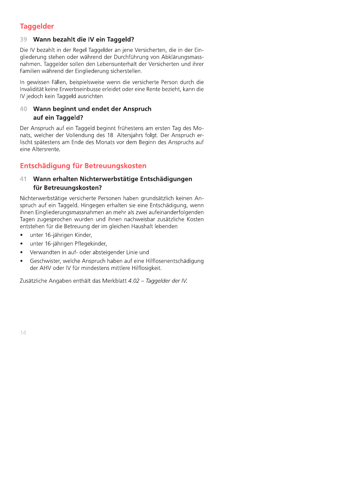## **Taggelder**

## 39 Wann bezahlt die IV ein Taggeld?

Die IV bezahlt in der Regel Taggelder an jene Versicherten, die in der Eingliederung stehen oder während der Durchführung von Abklärungsmassnahmen. Taggelder sollen den Lebensunterhalt der Versicherten und ihrer Familien während der Eingliederung sicherstellen.

In gewissen Fällen, beispielsweise wenn die versicherte Person durch die Invalidität keine Erwerbseinbusse erleidet oder eine Rente bezieht, kann die IV jedoch kein Taggeld ausrichten.

## 40 Wann beginnt und endet der Anspruch auf ein Taggeld?

Der Anspruch auf ein Taggeld beginnt frühestens am ersten Tag des Monats, welcher der Vollendung des 18. Altersjahrs folgt. Der Anspruch erlischt spätestens am Ende des Monats vor dem Beginn des Anspruchs auf eine Altersrente.

## Entschädigung für Betreuungskosten

### Wann erhalten Nichterwerbstätige Entschädigungen  $41$ für Betreuungskosten?

Nichterwerbstätige versicherte Personen haben grundsätzlich keinen Anspruch auf ein Taggeld. Hingegen erhalten sie eine Entschädigung, wenn ihnen Eingliederungsmassnahmen an mehr als zwei aufeinanderfolgenden Tagen zugesprochen wurden und ihnen nachweisbar zusätzliche Kosten entstehen für die Betreuung der im gleichen Haushalt lebenden

- unter 16-jährigen Kinder,  $\bullet$
- unter 16-jährigen Pflegekinder,
- Verwandten in auf- oder absteigender Linie und
- Geschwister, welche Anspruch haben auf eine Hilflosenentschädigung der AHV oder IV für mindestens mittlere Hilflosigkeit.

Zusätzliche Angaben enthält das Merkblatt 4.02 - Taggelder der IV.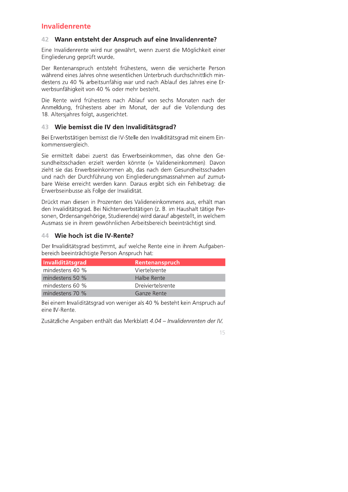## **Invalidenrente**

### 42 Wann entsteht der Anspruch auf eine Invalidenrente?

Eine Invalidenrente wird nur gewährt, wenn zuerst die Möglichkeit einer Eingliederung geprüft wurde.

Der Rentenanspruch entsteht frühestens, wenn die versicherte Person während eines Jahres ohne wesentlichen Unterbruch durchschnittlich mindestens zu 40 % arbeitsunfähig war und nach Ablauf des Jahres eine Erwerbsunfähigkeit von 40 % oder mehr besteht.

Die Rente wird frühestens nach Ablauf von sechs Monaten nach der Anmeldung, frühestens aber im Monat, der auf die Vollendung des 18. Altersjahres folgt, ausgerichtet.

### 43 Wie bemisst die IV den Invaliditätsgrad?

Bei Erwerbstätigen bemisst die IV-Stelle den Invaliditätsgrad mit einem Einkommensvergleich.

Sie ermittelt dabei zuerst das Erwerbseinkommen, das ohne den Gesundheitsschaden erzielt werden könnte (= Valideneinkommen). Davon zieht sie das Erwerbseinkommen ab, das nach dem Gesundheitsschaden und nach der Durchführung von Eingliederungsmassnahmen auf zumutbare Weise erreicht werden kann. Daraus ergibt sich ein Fehlbetrag: die Erwerbseinbusse als Folge der Invalidität.

Drückt man diesen in Prozenten des Valideneinkommens aus, erhält man den Invaliditätsgrad. Bei Nichterwerbstätigen (z. B. im Haushalt tätige Personen, Ordensangehörige, Studierende) wird darauf abgestellt, in welchem Ausmass sie in ihrem gewöhnlichen Arbeitsbereich beeinträchtigt sind.

### 44 Wie hoch ist die IV-Rente?

Der Invaliditätsgrad bestimmt, auf welche Rente eine in ihrem Aufgabenbereich beeinträchtigte Person Anspruch hat:

| Invaliditätsgrad  | <b>Rentenanspruch</b> |
|-------------------|-----------------------|
| mindestens 40 %   | Viertelsrente         |
| mindestens 50 $%$ | Halbe Rente           |
| mindestens 60 %   | Dreiviertelsrente     |
| mindestens $70\%$ | Ganze Rente           |

Bei einem Invaliditätsgrad von weniger als 40 % besteht kein Anspruch auf eine IV-Rente.

Zusätzliche Angaben enthält das Merkblatt 4.04 - Invalidenrenten der IV.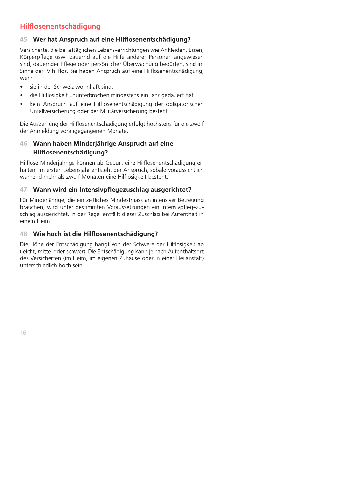## Hilflosenentschädigung

### 45 Wer hat Anspruch auf eine Hilflosenentschädigung?

Versicherte, die bei alltäglichen Lebensverrichtungen wie Ankleiden, Essen, Körperpflege usw. dauernd auf die Hilfe anderer Personen angewiesen sind, dauernder Pflege oder persönlicher Überwachung bedürfen, sind im Sinne der IV hilflos. Sie haben Anspruch auf eine Hilflosenentschädigung, wenn

- sie in der Schweiz wohnhaft sind,  $\bullet$
- die Hilflosigkeit ununterbrochen mindestens ein Jahr gedauert hat.  $\bullet$
- kein Anspruch auf eine Hilflosenentschädigung der obligatorischen Unfallversicherung oder der Militärversicherung besteht.

Die Auszahlung der Hilflosenentschädigung erfolgt höchstens für die zwölf der Anmeldung vorangegangenen Monate.

### Wann haben Minderjährige Anspruch auf eine 46 Hilflosenentschädigung?

Hilflose Minderjährige können ab Geburt eine Hilflosenentschädigung erhalten. Im ersten Lebensjahr entsteht der Anspruch, sobald voraussichtlich während mehr als zwölf Monaten eine Hilflosigkeit besteht.

### Wann wird ein Intensivpflegezuschlag ausgerichtet? 47

Für Minderjährige, die ein zeitliches Mindestmass an intensiver Betreuung brauchen, wird unter bestimmten Voraussetzungen ein Intensivpflegezuschlag ausgerichtet. In der Regel entfällt dieser Zuschlag bei Aufenthalt in einem Heim.

### 48 Wie hoch ist die Hilflosenentschädigung?

Die Höhe der Entschädigung hängt von der Schwere der Hilflosigkeit ab (leicht, mittel oder schwer). Die Entschädigung kann je nach Aufenthaltsort des Versicherten (im Heim, im eigenen Zuhause oder in einer Heilanstalt) unterschiedlich hoch sein.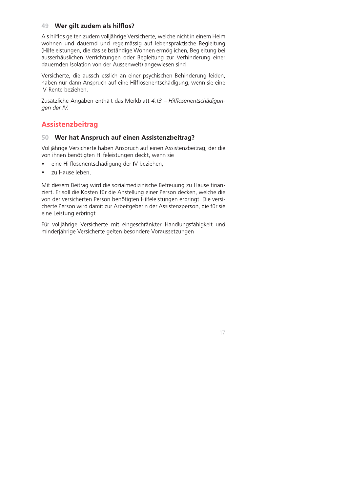### 49 Wer gilt zudem als hilflos?

Als hilflos gelten zudem volljährige Versicherte, welche nicht in einem Heim wohnen und dauernd und regelmässig auf lebenspraktische Begleitung (Hilfeleistungen, die das selbständige Wohnen ermöglichen, Begleitung bei ausserhäuslichen Verrichtungen oder Begleitung zur Verhinderung einer dauernden Isolation von der Aussenwelt) angewiesen sind.

Versicherte, die ausschliesslich an einer psychischen Behinderung leiden, haben nur dann Anspruch auf eine Hilflosenentschädigung, wenn sie eine IV-Rente beziehen.

Zusätzliche Angaben enthält das Merkblatt 4.13 - Hilflosenentschädigunaen der IV.

## **Assistenzbeitrag**

### 50 Wer hat Anspruch auf einen Assistenzbeitrag?

Volljährige Versicherte haben Anspruch auf einen Assistenzbeitrag, der die von ihnen benötigten Hilfeleistungen deckt, wenn sie

- eine Hilflosenentschädigung der IV beziehen,
- zu Hause leben.

Mit diesem Beitrag wird die sozialmedizinische Betreuung zu Hause finanziert. Er soll die Kosten für die Anstellung einer Person decken, welche die von der versicherten Person benötigten Hilfeleistungen erbringt. Die versicherte Person wird damit zur Arbeitgeberin der Assistenzperson, die für sie eine Leistung erbringt.

Für volljährige Versicherte mit eingeschränkter Handlungsfähigkeit und minderjährige Versicherte gelten besondere Voraussetzungen.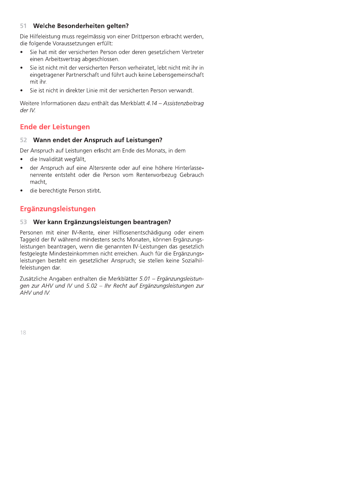### 51 Welche Besonderheiten gelten?

Die Hilfeleistung muss regelmässig von einer Drittperson erbracht werden, die folgende Voraussetzungen erfüllt:

- Sie hat mit der versicherten Person oder deren gesetzlichem Vertreter einen Arbeitsvertrag abgeschlossen.
- Sie ist nicht mit der versicherten Person verheiratet, lebt nicht mit ihr in eingetragener Partnerschaft und führt auch keine Lebensgemeinschaft mit ihr.
- Sie ist nicht in direkter Linie mit der versicherten Person verwandt.

Weitere Informationen dazu enthält das Merkblatt 4.14 – Assistenzbeitrag der IV.

## **Ende der Leistungen**

### Wann endet der Anspruch auf Leistungen?  $52 -$

Der Anspruch auf Leistungen erlischt am Ende des Monats, in dem

- die Invalidität wegfällt,
- der Anspruch auf eine Altersrente oder auf eine höhere Hinterlasse- $\bullet$ nenrente entsteht oder die Person vom Rentenvorbezug Gebrauch macht,
- die berechtigte Person stirbt.

## Ergänzungsleistungen

### Wer kann Ergänzungsleistungen beantragen? 53

Personen mit einer IV-Rente, einer Hilflosenentschädigung oder einem Taggeld der IV während mindestens sechs Monaten, können Ergänzungsleistungen beantragen, wenn die genannten IV-Leistungen das gesetzlich festgelegte Mindesteinkommen nicht erreichen. Auch für die Ergänzungsleistungen besteht ein gesetzlicher Anspruch; sie stellen keine Sozialhilfeleistungen dar.

Zusätzliche Angaben enthalten die Merkblätter 5.01 - Ergänzungsleistungen zur AHV und IV und 5.02 - Ihr Recht auf Ergänzungsleistungen zur AHV und IV.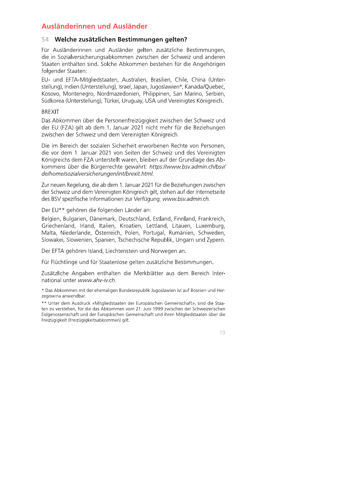## Ausländerinnen und Ausländer

### 54 Welche zusätzlichen Bestimmungen gelten?

Für Ausländerinnen und Ausländer gelten zusätzliche Bestimmungen, die in Sozialversicherungsabkommen zwischen der Schweiz und anderen Staaten enthalten sind. Solche Abkommen bestehen für die Angehörigen folgender Staaten:

EU- und EFTA-Mitgliedstaaten, Australien, Brasilien, Chile, China (Unterstellung), Indien (Unterstellung), Israel, Japan, Jugoslawien\*, Kanada/Quebec, Kosovo, Montenegro, Nordmazedonien, Philippinen, San Marino, Serbien, Südkorea (Unterstellung), Türkei, Uruguay, USA und Vereinigtes Königreich.

### **BREXIT**

Das Abkommen über die Personenfreizügigkeit zwischen der Schweiz und der EU (FZA) gilt ab dem 1. Januar 2021 nicht mehr für die Beziehungen zwischen der Schweiz und dem Vereinigten Königreich.

Die im Bereich der sozialen Sicherheit erworbenen Rechte von Personen, die vor dem 1. Januar 2021 von Seiten der Schweiz und des Vereinigten Königreichs dem FZA unterstellt waren, bleiben auf der Grundlage des Abkommens über die Bürgerrechte gewahrt: https://www.bsv.admin.ch/bsv/ de/home/sozialversicherungen/int/brexit.html.

Zur neuen Regelung, die ab dem 1. Januar 2021 für die Beziehungen zwischen der Schweiz und dem Vereinigten Königreich gilt, stehen auf der Internetseite des BSV spezifische Informationen zur Verfügung: www.bsv.admin.ch.

Der EU\*\* gehören die folgenden Länder an:

Belgien, Bulgarien, Dänemark, Deutschland, Estland, Finnland, Frankreich, Griechenland, Irland, Italien, Kroatien, Lettland, Litauen, Luxemburg, Malta, Niederlande, Österreich, Polen, Portugal, Rumänien, Schweden, Slowakei, Slowenien, Spanien, Tschechische Republik, Ungarn und Zypern.

Der EFTA gehören Island, Liechtenstein und Norwegen an.

Für Flüchtlinge und für Staatenlose gelten zusätzliche Bestimmungen.

Zusätzliche Angaben enthalten die Merkblätter aus dem Bereich International unter www.ahv-iv.ch.

\* Das Abkommen mit der ehemaligen Bundesrepublik Jugoslawien ist auf Bosnien und Herzegowina anwendbar.

\*\* Unter dem Ausdruck «Mitgliedstaaten der Europäischen Gemeinschaft», sind die Staaten zu verstehen, für die das Abkommen vom 21. Juni 1999 zwischen der Schweizerischen Eidgenossenschaft und der Europäischen Gemeinschaft und ihren Mitgliedstaaten über die Freizügigkeit (Freizügigkeitsabkommen) gilt.